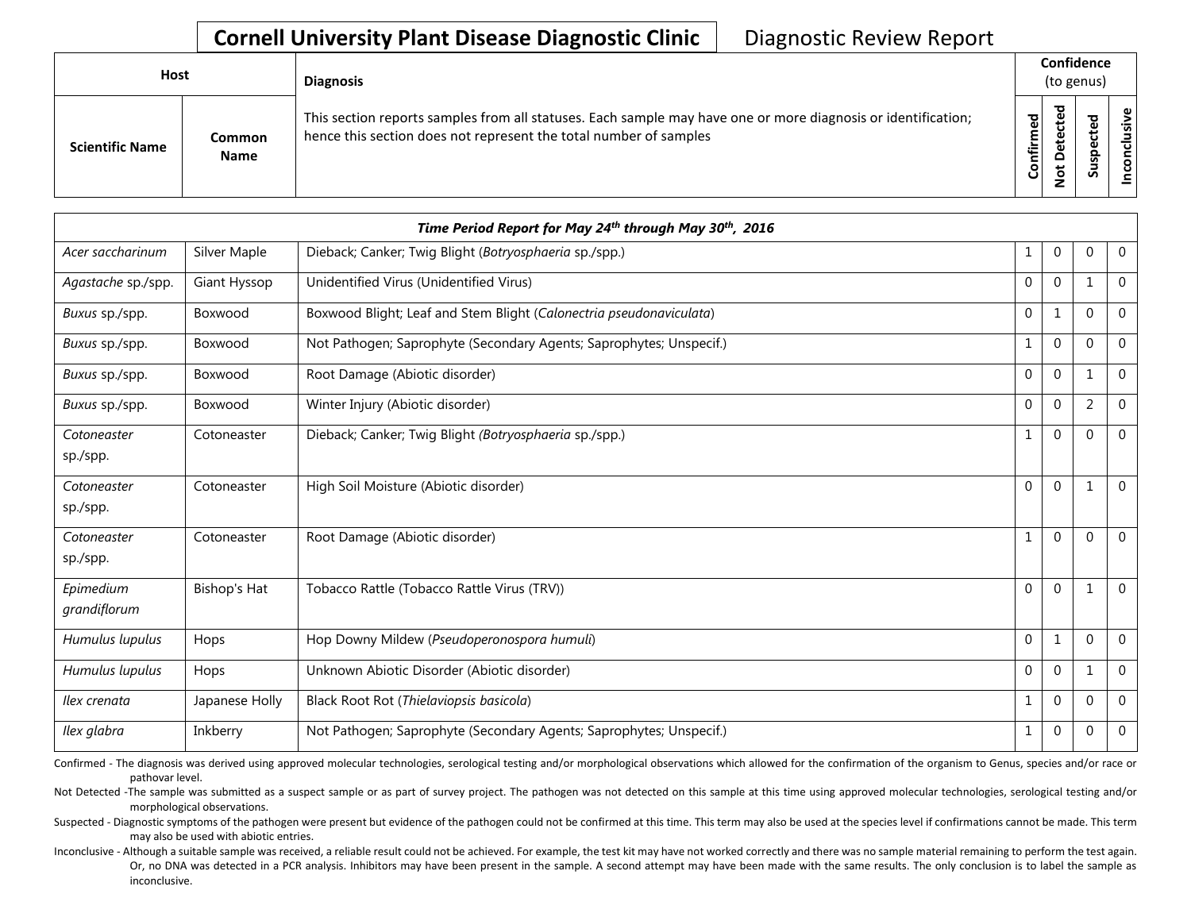| <b>Host</b>            |                              | <b>Diagnosis</b>                                                                                                                                                                   | Confidence<br>(to genus) |                                             |                            |      |
|------------------------|------------------------------|------------------------------------------------------------------------------------------------------------------------------------------------------------------------------------|--------------------------|---------------------------------------------|----------------------------|------|
| <b>Scientific Name</b> | <b>Common</b><br><b>Name</b> | This section reports samples from all statuses. Each sample may have one or more diagnosis or identification;<br>hence this section does not represent the total number of samples | Confirmed                | ᇃ<br>ťe<br>ē,<br>$\Omega$<br>$\ddot{\circ}$ | ᅙ<br>Φ<br>∸<br>으<br>۹<br>ದ | usiv |

|                           |                     | Time Period Report for May 24th through May 30th, 2016              |              |                |                |                |
|---------------------------|---------------------|---------------------------------------------------------------------|--------------|----------------|----------------|----------------|
| Acer saccharinum          | Silver Maple        | Dieback; Canker; Twig Blight (Botryosphaeria sp./spp.)              | 1            | $\mathbf 0$    | $\Omega$       | $\overline{0}$ |
| Agastache sp./spp.        | Giant Hyssop        | Unidentified Virus (Unidentified Virus)                             | $\Omega$     | $\mathbf 0$    | 1              | $\overline{0}$ |
| Buxus sp./spp.            | Boxwood             | Boxwood Blight; Leaf and Stem Blight (Calonectria pseudonaviculata) | $\Omega$     | $\mathbf{1}$   | $\Omega$       | $\overline{0}$ |
| Buxus sp./spp.            | Boxwood             | Not Pathogen; Saprophyte (Secondary Agents; Saprophytes; Unspecif.) | $\mathbf{1}$ | $\mathbf 0$    | $\Omega$       | $\mathbf 0$    |
| Buxus sp./spp.            | Boxwood             | Root Damage (Abiotic disorder)                                      | $\Omega$     | $\mathbf{0}$   |                | $\Omega$       |
| Buxus sp./spp.            | Boxwood             | Winter Injury (Abiotic disorder)                                    | $\mathbf{0}$ | $\mathbf{0}$   | $\overline{2}$ | $\overline{0}$ |
| Cotoneaster<br>sp./spp.   | Cotoneaster         | Dieback; Canker; Twig Blight (Botryosphaeria sp./spp.)              | 1            | $\mathbf{0}$   | $\Omega$       | $\Omega$       |
| Cotoneaster<br>sp./spp.   | Cotoneaster         | High Soil Moisture (Abiotic disorder)                               | $\mathbf{0}$ | $\mathbf{0}$   | $\mathbf{1}$   | $\Omega$       |
| Cotoneaster<br>sp./spp.   | Cotoneaster         | Root Damage (Abiotic disorder)                                      | $\mathbf{1}$ | $\mathbf{0}$   | $\Omega$       | $\overline{0}$ |
| Epimedium<br>grandiflorum | <b>Bishop's Hat</b> | Tobacco Rattle (Tobacco Rattle Virus (TRV))                         | $\mathbf{0}$ | $\overline{0}$ | $\mathbf 1$    | $\overline{0}$ |
| Humulus lupulus           | Hops                | Hop Downy Mildew (Pseudoperonospora humuli)                         | $\mathbf{0}$ | $\mathbf{1}$   | $\Omega$       | $\Omega$       |
| Humulus lupulus           | Hops                | Unknown Abiotic Disorder (Abiotic disorder)                         | $\Omega$     | $\mathbf 0$    | -1             | $\overline{0}$ |
| Ilex crenata              | Japanese Holly      | Black Root Rot (Thielaviopsis basicola)                             | $\mathbf{1}$ | $\mathbf{0}$   | $\Omega$       | $\mathbf 0$    |
| Ilex glabra               | Inkberry            | Not Pathogen; Saprophyte (Secondary Agents; Saprophytes; Unspecif.) | 1            | $\mathbf 0$    | $\mathbf{0}$   | $\overline{0}$ |

Confirmed - The diagnosis was derived using approved molecular technologies, serological testing and/or morphological observations which allowed for the confirmation of the organism to Genus, species and/or race or pathovar level.

Not Detected -The sample was submitted as a suspect sample or as part of survey project. The pathogen was not detected on this sample at this time using approved molecular technologies, serological testing and/or morphological observations.

Suspected - Diagnostic symptoms of the pathogen were present but evidence of the pathogen could not be confirmed at this time. This term may also be used at the species level if confirmations cannot be made. This term may also be used with abiotic entries.

Inconclusive - Although a suitable sample was received, a reliable result could not be achieved. For example, the test kit may have not worked correctly and there was no sample material remaining to perform the test again. Or, no DNA was detected in a PCR analysis. Inhibitors may have been present in the sample. A second attempt may have been made with the same results. The only conclusion is to label the sample as inconclusive.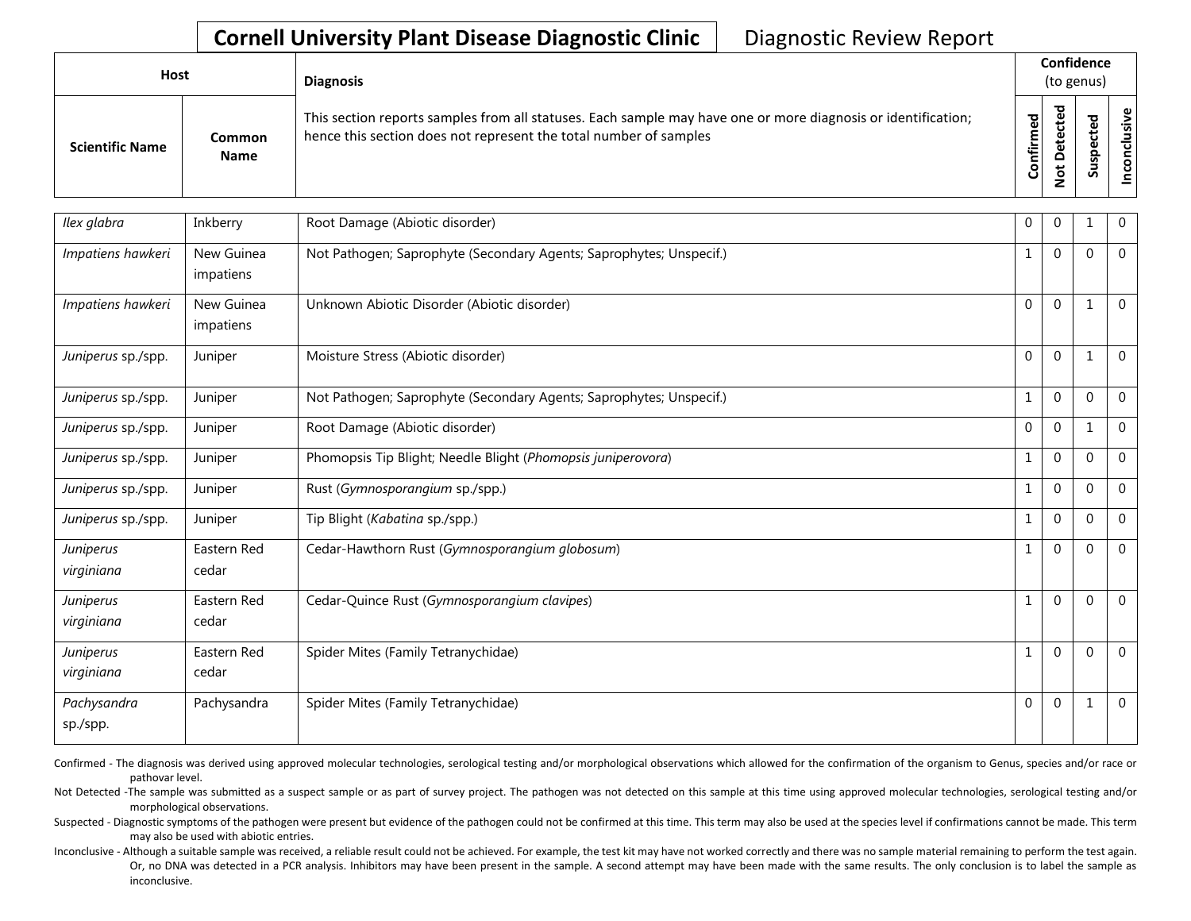| Host                   |                              | <b>Diagnosis</b>                                                                                                                                                                   |                    | Confidence<br>(to genus) |                            |               |  |  |  |  |
|------------------------|------------------------------|------------------------------------------------------------------------------------------------------------------------------------------------------------------------------------|--------------------|--------------------------|----------------------------|---------------|--|--|--|--|
| <b>Scientific Name</b> | <b>Common</b><br><b>Name</b> | This section reports samples from all statuses. Each sample may have one or more diagnosis or identification;<br>hence this section does not represent the total number of samples | ਠ<br>ω<br>Confirme | ᇃ<br>$\Omega$<br>۰       | ω<br>o<br>௨<br>s<br>ـ<br>n | $\omega$<br>g |  |  |  |  |

| Ilex glabra             | Inkberry                | Root Damage (Abiotic disorder)                                      | 0            | $\mathbf 0$  |              | $\mathbf 0$    |
|-------------------------|-------------------------|---------------------------------------------------------------------|--------------|--------------|--------------|----------------|
| Impatiens hawkeri       | New Guinea<br>impatiens | Not Pathogen; Saprophyte (Secondary Agents; Saprophytes; Unspecif.) | 1            | $\mathbf{0}$ | $\Omega$     | $\overline{0}$ |
| Impatiens hawkeri       | New Guinea<br>impatiens | Unknown Abiotic Disorder (Abiotic disorder)                         | $\Omega$     | $\mathbf{0}$ | 1            | $\overline{0}$ |
| Juniperus sp./spp.      | Juniper                 | Moisture Stress (Abiotic disorder)                                  | $\mathbf{0}$ | $\mathbf{0}$ | $\mathbf{1}$ | $\overline{0}$ |
| Juniperus sp./spp.      | Juniper                 | Not Pathogen; Saprophyte (Secondary Agents; Saprophytes; Unspecif.) |              | $\mathbf 0$  | $\Omega$     | $\mathbf 0$    |
| Juniperus sp./spp.      | Juniper                 | Root Damage (Abiotic disorder)                                      | $\mathbf{0}$ | $\mathbf{0}$ | 1            | $\mathbf{0}$   |
| Juniperus sp./spp.      | Juniper                 | Phomopsis Tip Blight; Needle Blight (Phomopsis juniperovora)        |              | $\mathbf{0}$ | $\Omega$     | $\overline{0}$ |
| Juniperus sp./spp.      | Juniper                 | Rust (Gymnosporangium sp./spp.)                                     | $\mathbf{1}$ | $\mathbf{0}$ | $\Omega$     | $\mathbf 0$    |
| Juniperus sp./spp.      | Juniper                 | Tip Blight (Kabatina sp./spp.)                                      | 1            | $\mathbf{0}$ | $\Omega$     | $\mathbf 0$    |
| Juniperus<br>virginiana | Eastern Red<br>cedar    | Cedar-Hawthorn Rust (Gymnosporangium globosum)                      | 1            | $\mathbf{0}$ | $\Omega$     | $\overline{0}$ |
| Juniperus<br>virginiana | Eastern Red<br>cedar    | Cedar-Quince Rust (Gymnosporangium clavipes)                        |              | $\mathbf{0}$ | $\Omega$     | $\overline{0}$ |
| Juniperus<br>virginiana | Eastern Red<br>cedar    | Spider Mites (Family Tetranychidae)                                 |              | $\mathbf{0}$ | $\Omega$     | $\overline{0}$ |
| Pachysandra<br>sp./spp. | Pachysandra             | Spider Mites (Family Tetranychidae)                                 | $\Omega$     | $\mathbf{0}$ | 1            | $\overline{0}$ |

Confirmed - The diagnosis was derived using approved molecular technologies, serological testing and/or morphological observations which allowed for the confirmation of the organism to Genus, species and/or race or pathovar level.

Not Detected -The sample was submitted as a suspect sample or as part of survey project. The pathogen was not detected on this sample at this time using approved molecular technologies, serological testing and/or morphological observations.

Suspected - Diagnostic symptoms of the pathogen were present but evidence of the pathogen could not be confirmed at this time. This term may also be used at the species level if confirmations cannot be made. This term may also be used with abiotic entries.

Inconclusive - Although a suitable sample was received, a reliable result could not be achieved. For example, the test kit may have not worked correctly and there was no sample material remaining to perform the test again. Or, no DNA was detected in a PCR analysis. Inhibitors may have been present in the sample. A second attempt may have been made with the same results. The only conclusion is to label the sample as inconclusive.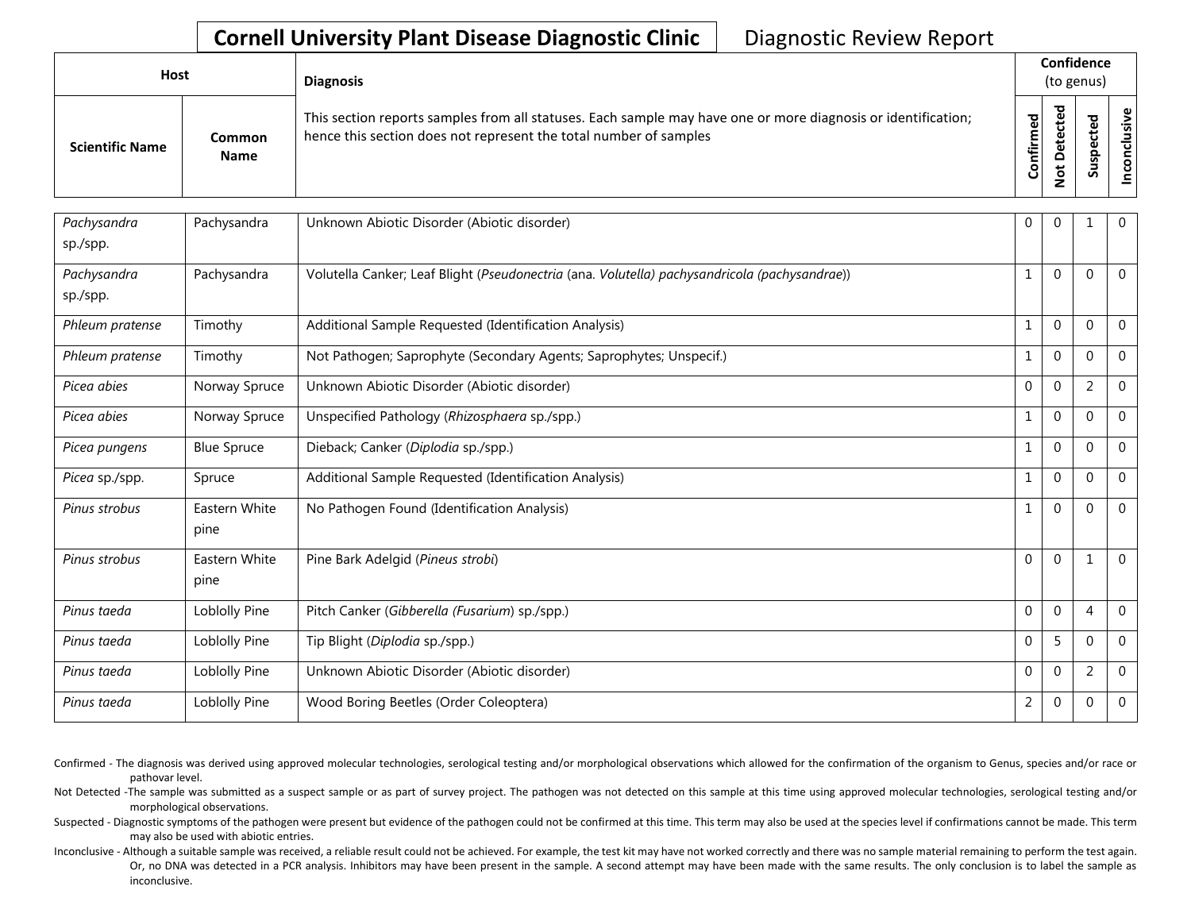| Host                   |                       | <b>Diagnosis</b>                                                                                                                                                                   |           | Confidence<br>(to genus)    |         |                 |  |  |  |
|------------------------|-----------------------|------------------------------------------------------------------------------------------------------------------------------------------------------------------------------------|-----------|-----------------------------|---------|-----------------|--|--|--|
| <b>Scientific Name</b> | Common<br><b>Name</b> | This section reports samples from all statuses. Each sample may have one or more diagnosis or identification;<br>hence this section does not represent the total number of samples | Confirmed | ᅙ<br>ω<br>ن<br>۵<br>ىپ<br>- | 73<br>ທ | Φ<br>usiv<br>᠊ᠣ |  |  |  |

| Pachysandra<br>sp./spp. | Pachysandra           | Unknown Abiotic Disorder (Abiotic disorder)                                                   | $\mathbf 0$    | $\mathbf{0}$   |                | $\overline{0}$ |
|-------------------------|-----------------------|-----------------------------------------------------------------------------------------------|----------------|----------------|----------------|----------------|
| Pachysandra<br>sp./spp. | Pachysandra           | Volutella Canker; Leaf Blight (Pseudonectria (ana. Volutella) pachysandricola (pachysandrae)) | 1              | $\mathbf 0$    | $\Omega$       | $\mathbf 0$    |
| Phleum pratense         | Timothy               | Additional Sample Requested (Identification Analysis)                                         | 1              | $\mathbf 0$    | $\Omega$       | $\mathbf{0}$   |
| Phleum pratense         | Timothy               | Not Pathogen; Saprophyte (Secondary Agents; Saprophytes; Unspecif.)                           | 1              | $\Omega$       | $\Omega$       | $\mathbf{0}$   |
| Picea abies             | Norway Spruce         | Unknown Abiotic Disorder (Abiotic disorder)                                                   | $\mathbf 0$    | $\mathbf 0$    | 2              | $\overline{0}$ |
| Picea abies             | Norway Spruce         | Unspecified Pathology (Rhizosphaera sp./spp.)                                                 | 1              | $\mathbf 0$    | $\Omega$       | $\mathbf{0}$   |
| Picea pungens           | <b>Blue Spruce</b>    | Dieback; Canker (Diplodia sp./spp.)                                                           | 1              | $\mathbf 0$    | $\Omega$       | $\mathbf{0}$   |
| Picea sp./spp.          | Spruce                | Additional Sample Requested (Identification Analysis)                                         | 1              | $\Omega$       | $\Omega$       | $\mathbf{0}$   |
| Pinus strobus           | Eastern White<br>pine | No Pathogen Found (Identification Analysis)                                                   | 1              | $\mathbf 0$    | $\Omega$       | $\mathbf 0$    |
| Pinus strobus           | Eastern White<br>pine | Pine Bark Adelgid (Pineus strobi)                                                             | $\Omega$       | $\Omega$       |                | $\Omega$       |
| Pinus taeda             | Loblolly Pine         | Pitch Canker (Gibberella (Fusarium) sp./spp.)                                                 | $\mathbf 0$    | $\mathbf 0$    | 4              | $\overline{0}$ |
| Pinus taeda             | Loblolly Pine         | Tip Blight (Diplodia sp./spp.)                                                                | $\mathbf 0$    | 5              | $\Omega$       | $\Omega$       |
| Pinus taeda             | Loblolly Pine         | Unknown Abiotic Disorder (Abiotic disorder)                                                   | $\mathbf 0$    | $\mathbf 0$    | $\overline{2}$ | $\mathbf{0}$   |
| Pinus taeda             | Loblolly Pine         | Wood Boring Beetles (Order Coleoptera)                                                        | $\overline{2}$ | $\overline{0}$ | $\Omega$       | $\overline{0}$ |

Confirmed - The diagnosis was derived using approved molecular technologies, serological testing and/or morphological observations which allowed for the confirmation of the organism to Genus, species and/or race or pathovar level.

Not Detected -The sample was submitted as a suspect sample or as part of survey project. The pathogen was not detected on this sample at this time using approved molecular technologies, serological testing and/or morphological observations.

Suspected - Diagnostic symptoms of the pathogen were present but evidence of the pathogen could not be confirmed at this time. This term may also be used at the species level if confirmations cannot be made. This term may also be used with abiotic entries.

Inconclusive - Although a suitable sample was received, a reliable result could not be achieved. For example, the test kit may have not worked correctly and there was no sample material remaining to perform the test again. Or, no DNA was detected in a PCR analysis. Inhibitors may have been present in the sample. A second attempt may have been made with the same results. The only conclusion is to label the sample as inconclusive.